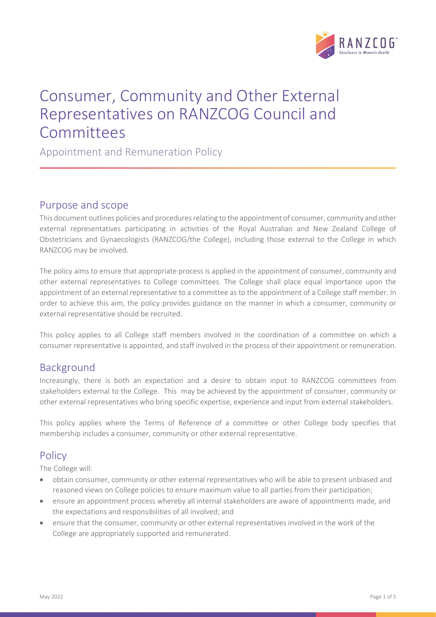

# Consumer, Community and Other External Representatives on RANZCOG Council and Committees

Appointment and Remuneration Policy

#### Purpose and scope

This document outlines policies and procedures relating to the appointment of consumer, community and other external representatives participating in activities of the Royal Australian and New Zealand College of Obstetricians and Gynaecologists (RANZCOG/the College), including those external to the College in which RANZCOG may be involved.

The policy aims to ensure that appropriate process is applied in the appointment of consumer, community and other external representatives to College committees. The College shall place equal importance upon the appointment of an external representative to a committee as to the appointment of a College staff member. In order to achieve this aim, the policy provides guidance on the manner in which a consumer, community or external representative should be recruited.

This policy applies to all College staff members involved in the coordination of a committee on which a consumer representative is appointed, and staff involved in the process of their appointment or remuneration.

## Background

Increasingly, there is both an expectation and a desire to obtain input to RANZCOG committees from stakeholders external to the College. This may be achieved by the appointment of consumer, community or other external representatives who bring specific expertise, experience and input from external stakeholders.

This policy applies where the Terms of Reference of a committee or other College body specifies that membership includes a consumer, community or other external representative.

## **Policy**

The College will:

- obtain consumer, community or other external representatives who will be able to present unbiased and reasoned views on College policies to ensure maximum value to all parties from their participation;
- ensure an appointment process whereby all internal stakeholders are aware of appointments made, and the expectations and responsibilities of all involved; and
- ensure that the consumer, community or other external representatives involved in the work of the College are appropriately supported and remunerated.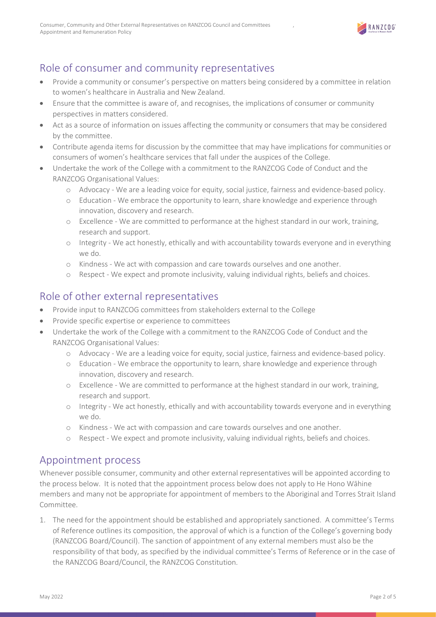

# Role of consumer and community representatives

- Provide a community or consumer's perspective on matters being considered by a committee in relation to women's healthcare in Australia and New Zealand.
- Ensure that the committee is aware of, and recognises, the implications of consumer or community perspectives in matters considered.
- Act as a source of information on issues affecting the community or consumers that may be considered by the committee.
- Contribute agenda items for discussion by the committee that may have implications for communities or consumers of women's healthcare services that fall under the auspices of the College.
- Undertake the work of the College with a commitment to the RANZCOG Code of Conduct and the RANZCOG Organisational Values:
	- o Advocacy We are a leading voice for equity, social justice, fairness and evidence-based policy.
	- o Education We embrace the opportunity to learn, share knowledge and experience through innovation, discovery and research.
	- o Excellence We are committed to performance at the highest standard in our work, training, research and support.
	- o Integrity We act honestly, ethically and with accountability towards everyone and in everything we do.
	- o Kindness We act with compassion and care towards ourselves and one another.
	- o Respect We expect and promote inclusivity, valuing individual rights, beliefs and choices.

## Role of other external representatives

- Provide input to RANZCOG committees from stakeholders external to the College
- Provide specific expertise or experience to committees
- Undertake the work of the College with a commitment to the RANZCOG Code of Conduct and the RANZCOG Organisational Values:
	- o Advocacy We are a leading voice for equity, social justice, fairness and evidence-based policy.
	- o Education We embrace the opportunity to learn, share knowledge and experience through innovation, discovery and research.
	- o Excellence We are committed to performance at the highest standard in our work, training, research and support.
	- o Integrity We act honestly, ethically and with accountability towards everyone and in everything we do.
	- o Kindness We act with compassion and care towards ourselves and one another.
	- o Respect We expect and promote inclusivity, valuing individual rights, beliefs and choices.

#### Appointment process

Whenever possible consumer, community and other external representatives will be appointed according to the process below. It is noted that the appointment process below does not apply to He Hono Wāhine members and many not be appropriate for appointment of members to the Aboriginal and Torres Strait Island Committee.

1. The need for the appointment should be established and appropriately sanctioned. A committee's Terms of Reference outlines its composition, the approval of which is a function of the College's governing body (RANZCOG Board/Council). The sanction of appointment of any external members must also be the responsibility of that body, as specified by the individual committee's Terms of Reference or in the case of the RANZCOG Board/Council, the RANZCOG Constitution.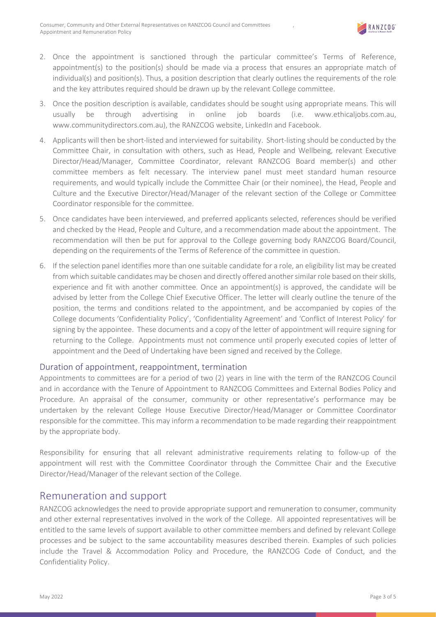

- 2. Once the appointment is sanctioned through the particular committee's Terms of Reference, appointment(s) to the position(s) should be made via a process that ensures an appropriate match of individual(s) and position(s). Thus, a position description that clearly outlines the requirements of the role and the key attributes required should be drawn up by the relevant College committee.
- 3. Once the position description is available, candidates should be sought using appropriate means. This will usually be through advertising in online job boards (i.e. www.ethicaljobs.com.au, www.communitydirectors.com.au), the RANZCOG website, LinkedIn and Facebook.
- 4. Applicants will then be short-listed and interviewed for suitability. Short-listing should be conducted by the Committee Chair, in consultation with others, such as Head, People and Wellbeing, relevant Executive Director/Head/Manager, Committee Coordinator, relevant RANZCOG Board member(s) and other committee members as felt necessary. The interview panel must meet standard human resource requirements, and would typically include the Committee Chair (or their nominee), the Head, People and Culture and the Executive Director/Head/Manager of the relevant section of the College or Committee Coordinator responsible for the committee.
- 5. Once candidates have been interviewed, and preferred applicants selected, references should be verified and checked by the Head, People and Culture, and a recommendation made about the appointment. The recommendation will then be put for approval to the College governing body RANZCOG Board/Council, depending on the requirements of the Terms of Reference of the committee in question.
- 6. If the selection panel identifies more than one suitable candidate for a role, an eligibility list may be created from which suitable candidates may be chosen and directly offered another similar role based on their skills, experience and fit with another committee. Once an appointment(s) is approved, the candidate will be advised by letter from the College Chief Executive Officer. The letter will clearly outline the tenure of the position, the terms and conditions related to the appointment, and be accompanied by copies of the College documents 'Confidentiality Policy', 'Confidentiality Agreement' and 'Conflict of Interest Policy' for signing by the appointee. These documents and a copy of the letter of appointment will require signing for returning to the College. Appointments must not commence until properly executed copies of letter of appointment and the Deed of Undertaking have been signed and received by the College.

#### Duration of appointment, reappointment, termination

Appointments to committees are for a period of two (2) years in line with the term of the RANZCOG Council and in accordance with the Tenure of Appointment to RANZCOG Committees and External Bodies Policy and Procedure. An appraisal of the consumer, community or other representative's performance may be undertaken by the relevant College House Executive Director/Head/Manager or Committee Coordinator responsible for the committee. This may inform a recommendation to be made regarding their reappointment by the appropriate body.

Responsibility for ensuring that all relevant administrative requirements relating to follow-up of the appointment will rest with the Committee Coordinator through the Committee Chair and the Executive Director/Head/Manager of the relevant section of the College.

#### Remuneration and support

RANZCOG acknowledges the need to provide appropriate support and remuneration to consumer, community and other external representatives involved in the work of the College. All appointed representatives will be entitled to the same levels of support available to other committee members and defined by relevant College processes and be subject to the same accountability measures described therein. Examples of such policies include the Travel & Accommodation Policy and Procedure, the RANZCOG Code of Conduct, and the Confidentiality Policy.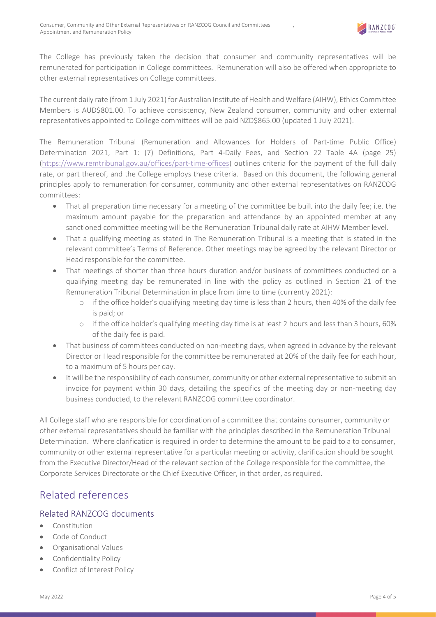

The College has previously taken the decision that consumer and community representatives will be remunerated for participation in College committees. Remuneration will also be offered when appropriate to other external representatives on College committees.

The current daily rate (from 1 July 2021) for Australian Institute of Health and Welfare (AIHW), Ethics Committee Members is AUD\$801.00. To achieve consistency, New Zealand consumer, community and other external representatives appointed to College committees will be paid NZD\$865.00 (updated 1 July 2021).

The Remuneration Tribunal (Remuneration and Allowances for Holders of Part-time Public Office) Determination 2021, Part 1: (7) Definitions, Part 4-Daily Fees, and Section 22 Table 4A (page 25) (https://www.remtribunal.gov.au/offices/part-time-offices) outlines criteria for the payment of the full daily rate, or part thereof, and the College employs these criteria. Based on this document, the following general principles apply to remuneration for consumer, community and other external representatives on RANZCOG committees:

- That all preparation time necessary for a meeting of the committee be built into the daily fee; i.e. the maximum amount payable for the preparation and attendance by an appointed member at any sanctioned committee meeting will be the Remuneration Tribunal daily rate at AIHW Member level.
- That a qualifying meeting as stated in The Remuneration Tribunal is a meeting that is stated in the relevant committee's Terms of Reference. Other meetings may be agreed by the relevant Director or Head responsible for the committee.
- That meetings of shorter than three hours duration and/or business of committees conducted on a qualifying meeting day be remunerated in line with the policy as outlined in Section 21 of the Remuneration Tribunal Determination in place from time to time (currently 2021):
	- o if the office holder's qualifying meeting day time is less than 2 hours, then 40% of the daily fee is paid; or
	- o if the office holder's qualifying meeting day time is at least 2 hours and less than 3 hours, 60% of the daily fee is paid.
- That business of committees conducted on non-meeting days, when agreed in advance by the relevant Director or Head responsible for the committee be remunerated at 20% of the daily fee for each hour, to a maximum of 5 hours per day.
- It will be the responsibility of each consumer, community or other external representative to submit an invoice for payment within 30 days, detailing the specifics of the meeting day or non-meeting day business conducted, to the relevant RANZCOG committee coordinator.

All College staff who are responsible for coordination of a committee that contains consumer, community or other external representatives should be familiar with the principles described in the Remuneration Tribunal Determination. Where clarification is required in order to determine the amount to be paid to a to consumer, community or other external representative for a particular meeting or activity, clarification should be sought from the Executive Director/Head of the relevant section of the College responsible for the committee, the Corporate Services Directorate or the Chief Executive Officer, in that order, as required.

## Related references

#### Related RANZCOG documents

- **Constitution**
- Code of Conduct
- Organisational Values
- Confidentiality Policy
- Conflict of Interest Policy